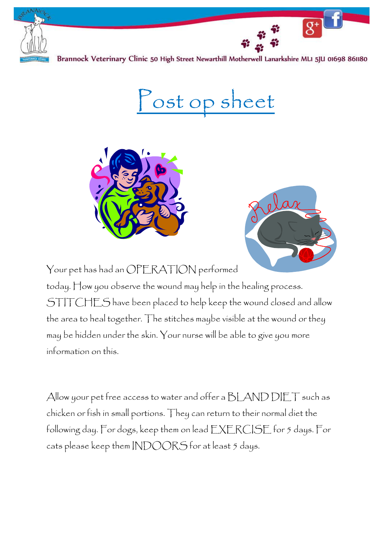



Post op sheet





Your pet has had an OPERATION performed today. How you observe the wound may help in the healing process. STITCHES have been placed to help keep the wound closed and allow the area to heal together. The stitches maybe visible at the wound or they may be hidden under the skin. Your nurse will be able to give you more information on this.

Allow your pet free access to water and offer a BLAND DIET such as chicken or fish in small portions. They can return to their normal diet the following day. For dogs, keep them on lead EXERCISE for 5 days. For cats please keep them INDOORS for at least 5 days.